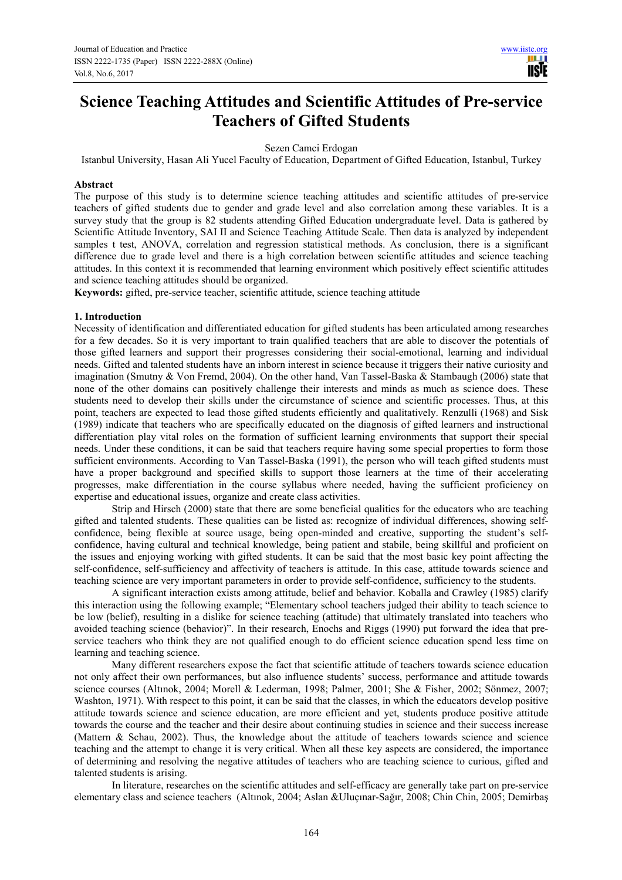# **Science Teaching Attitudes and Scientific Attitudes of Pre-service Teachers of Gifted Students**

Sezen Camci Erdogan

Istanbul University, Hasan Ali Yucel Faculty of Education, Department of Gifted Education, Istanbul, Turkey

#### **Abstract**

The purpose of this study is to determine science teaching attitudes and scientific attitudes of pre-service teachers of gifted students due to gender and grade level and also correlation among these variables. It is a survey study that the group is 82 students attending Gifted Education undergraduate level. Data is gathered by Scientific Attitude Inventory, SAI II and Science Teaching Attitude Scale. Then data is analyzed by independent samples t test, ANOVA, correlation and regression statistical methods. As conclusion, there is a significant difference due to grade level and there is a high correlation between scientific attitudes and science teaching attitudes. In this context it is recommended that learning environment which positively effect scientific attitudes and science teaching attitudes should be organized.

**Keywords:** gifted, pre-service teacher, scientific attitude, science teaching attitude

#### **1. Introduction**

Necessity of identification and differentiated education for gifted students has been articulated among researches for a few decades. So it is very important to train qualified teachers that are able to discover the potentials of those gifted learners and support their progresses considering their social-emotional, learning and individual needs. Gifted and talented students have an inborn interest in science because it triggers their native curiosity and imagination (Smutny & Von Fremd, 2004). On the other hand, Van Tassel-Baska & Stambaugh (2006) state that none of the other domains can positively challenge their interests and minds as much as science does. These students need to develop their skills under the circumstance of science and scientific processes. Thus, at this point, teachers are expected to lead those gifted students efficiently and qualitatively. Renzulli (1968) and Sisk (1989) indicate that teachers who are specifically educated on the diagnosis of gifted learners and instructional differentiation play vital roles on the formation of sufficient learning environments that support their special needs. Under these conditions, it can be said that teachers require having some special properties to form those sufficient environments. According to Van Tassel-Baska (1991), the person who will teach gifted students must have a proper background and specified skills to support those learners at the time of their accelerating progresses, make differentiation in the course syllabus where needed, having the sufficient proficiency on expertise and educational issues, organize and create class activities.

Strip and Hirsch (2000) state that there are some beneficial qualities for the educators who are teaching gifted and talented students. These qualities can be listed as: recognize of individual differences, showing selfconfidence, being flexible at source usage, being open-minded and creative, supporting the student's selfconfidence, having cultural and technical knowledge, being patient and stabile, being skillful and proficient on the issues and enjoying working with gifted students. It can be said that the most basic key point affecting the self-confidence, self-sufficiency and affectivity of teachers is attitude. In this case, attitude towards science and teaching science are very important parameters in order to provide self-confidence, sufficiency to the students.

A significant interaction exists among attitude, belief and behavior. Koballa and Crawley (1985) clarify this interaction using the following example; "Elementary school teachers judged their ability to teach science to be low (belief), resulting in a dislike for science teaching (attitude) that ultimately translated into teachers who avoided teaching science (behavior)". In their research, Enochs and Riggs (1990) put forward the idea that preservice teachers who think they are not qualified enough to do efficient science education spend less time on learning and teaching science.

Many different researchers expose the fact that scientific attitude of teachers towards science education not only affect their own performances, but also influence students' success, performance and attitude towards science courses (Altınok, 2004; Morell & Lederman, 1998; Palmer, 2001; She & Fisher, 2002; Sönmez, 2007; Washton, 1971). With respect to this point, it can be said that the classes, in which the educators develop positive attitude towards science and science education, are more efficient and yet, students produce positive attitude towards the course and the teacher and their desire about continuing studies in science and their success increase (Mattern & Schau, 2002). Thus, the knowledge about the attitude of teachers towards science and science teaching and the attempt to change it is very critical. When all these key aspects are considered, the importance of determining and resolving the negative attitudes of teachers who are teaching science to curious, gifted and talented students is arising.

In literature, researches on the scientific attitudes and self-efficacy are generally take part on pre-service elementary class and science teachers (Altınok, 2004; Aslan &Uluçınar-Sağır, 2008; Chin Chin, 2005; Demirbaş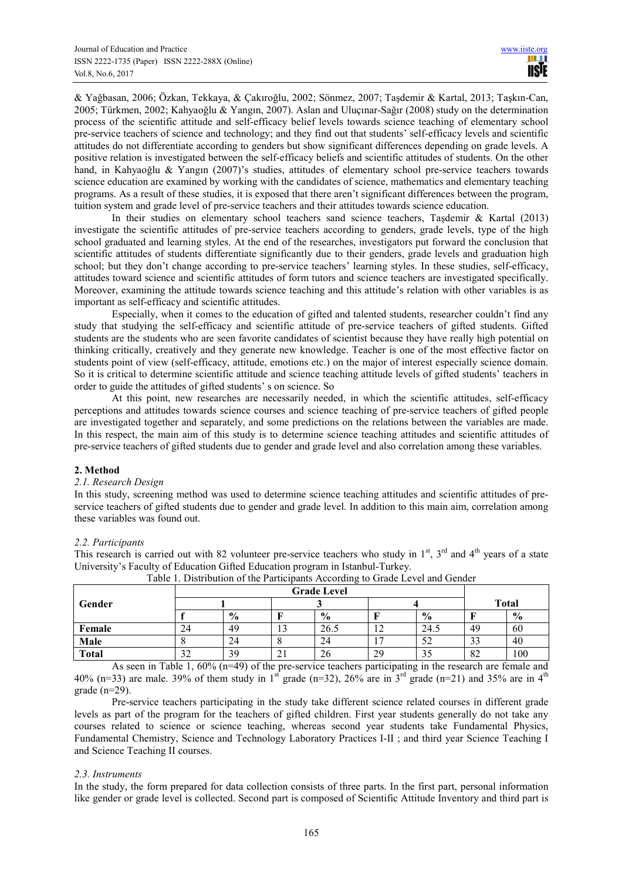& Yağbasan, 2006; Özkan, Tekkaya, & Çakıroğlu, 2002; Sönmez, 2007; Taşdemir & Kartal, 2013; Taşkın-Can, 2005; Türkmen, 2002; Kahyaoğlu & Yangın, 2007). Aslan and Uluçınar-Sağır (2008) study on the determination process of the scientific attitude and self-efficacy belief levels towards science teaching of elementary school pre-service teachers of science and technology; and they find out that students' self-efficacy levels and scientific attitudes do not differentiate according to genders but show significant differences depending on grade levels. A positive relation is investigated between the self-efficacy beliefs and scientific attitudes of students. On the other hand, in Kahyaoğlu & Yangın (2007)'s studies, attitudes of elementary school pre-service teachers towards science education are examined by working with the candidates of science, mathematics and elementary teaching programs. As a result of these studies, it is exposed that there aren't significant differences between the program, tuition system and grade level of pre-service teachers and their attitudes towards science education.

In their studies on elementary school teachers sand science teachers, Taşdemir & Kartal (2013) investigate the scientific attitudes of pre-service teachers according to genders, grade levels, type of the high school graduated and learning styles. At the end of the researches, investigators put forward the conclusion that scientific attitudes of students differentiate significantly due to their genders, grade levels and graduation high school; but they don't change according to pre-service teachers' learning styles. In these studies, self-efficacy, attitudes toward science and scientific attitudes of form tutors and science teachers are investigated specifically. Moreover, examining the attitude towards science teaching and this attitude's relation with other variables is as important as self-efficacy and scientific attitudes.

Especially, when it comes to the education of gifted and talented students, researcher couldn't find any study that studying the self-efficacy and scientific attitude of pre-service teachers of gifted students. Gifted students are the students who are seen favorite candidates of scientist because they have really high potential on thinking critically, creatively and they generate new knowledge. Teacher is one of the most effective factor on students point of view (self-efficacy, attitude, emotions etc.) on the major of interest especially science domain. So it is critical to determine scientific attitude and science teaching attitude levels of gifted students' teachers in order to guide the attitudes of gifted students' s on science. So

At this point, new researches are necessarily needed, in which the scientific attitudes, self-efficacy perceptions and attitudes towards science courses and science teaching of pre-service teachers of gifted people are investigated together and separately, and some predictions on the relations between the variables are made. In this respect, the main aim of this study is to determine science teaching attitudes and scientific attitudes of pre-service teachers of gifted students due to gender and grade level and also correlation among these variables.

# **2. Method**

# *2.1. Research Design*

In this study, screening method was used to determine science teaching attitudes and scientific attitudes of preservice teachers of gifted students due to gender and grade level. In addition to this main aim, correlation among these variables was found out.

# *2.2. Participants*

This research is carried out with 82 volunteer pre-service teachers who study in  $1<sup>st</sup>$ ,  $3<sup>rd</sup>$  and  $4<sup>th</sup>$  years of a state University's Faculty of Education Gifted Education program in Istanbul-Turkey.

| <b>Grade Level</b> |               |          |               |              |               |               |      |
|--------------------|---------------|----------|---------------|--------------|---------------|---------------|------|
|                    |               |          |               |              |               | <b>Total</b>  |      |
|                    | $\frac{6}{9}$ |          | $\frac{6}{6}$ |              | $\frac{0}{0}$ |               | $\%$ |
| 24                 | 49            | c<br>IJ  | 26.5          | $\sim$<br>14 | 24.5          | 49            | 60   |
|                    | 24            | $\circ$  | 24            | −            | ΣŹ            | $\sim$<br>ر ر | 40   |
| $\sim$<br>ے د      | 39            | $\sim$ 1 | 26            | 29           |               | 82            | 100  |
|                    |               |          |               |              |               |               |      |

| Table 1. Distribution of the Participants According to Grade Level and Gender |  |
|-------------------------------------------------------------------------------|--|

As seen in Table 1, 60% (n=49) of the pre-service teachers participating in the research are female and 40% (n=33) are male. 39% of them study in 1<sup>st</sup> grade (n=32), 26% are in 3<sup>rd</sup> grade (n=21) and 35% are in 4<sup>th</sup> grade (n=29).

Pre-service teachers participating in the study take different science related courses in different grade levels as part of the program for the teachers of gifted children. First year students generally do not take any courses related to science or science teaching, whereas second year students take Fundamental Physics, Fundamental Chemistry, Science and Technology Laboratory Practices I-II ; and third year Science Teaching I and Science Teaching II courses.

# *2.3. Instruments*

In the study, the form prepared for data collection consists of three parts. In the first part, personal information like gender or grade level is collected. Second part is composed of Scientific Attitude Inventory and third part is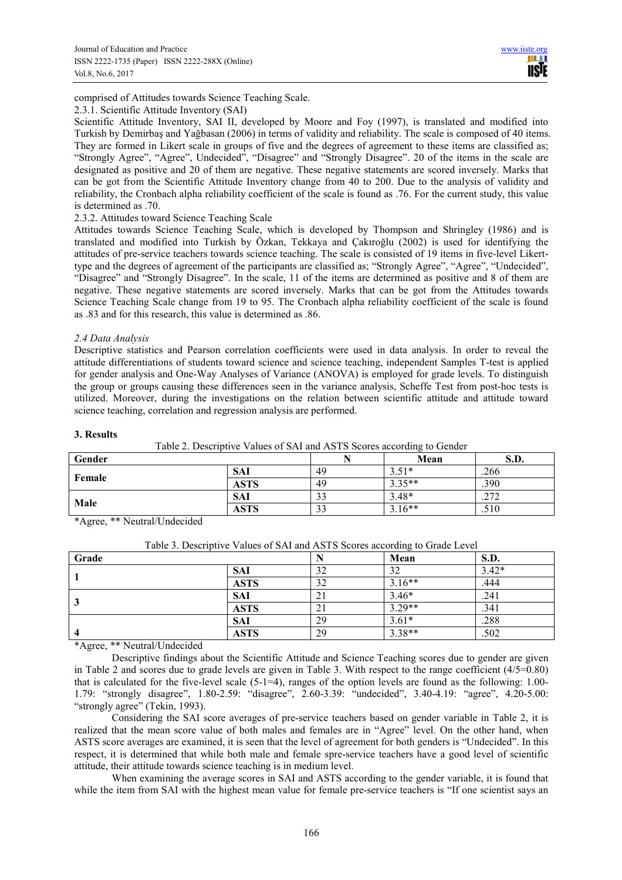comprised of Attitudes towards Science Teaching Scale.

#### 2.3.1. Scientific Attitude Inventory (SAI)

Scientific Attitude Inventory, SAI II, developed by Moore and Foy (1997), is translated and modified into Turkish by Demirbaş and Yağbasan (2006) in terms of validity and reliability. The scale is composed of 40 items. They are formed in Likert scale in groups of five and the degrees of agreement to these items are classified as; "Strongly Agree", "Agree", Undecided", "Disagree" and "Strongly Disagree". 20 of the items in the scale are designated as positive and 20 of them are negative. These negative statements are scored inversely. Marks that can be got from the Scientific Attitude Inventory change from 40 to 200. Due to the analysis of validity and reliability, the Cronbach alpha reliability coefficient of the scale is found as .76. For the current study, this value is determined as .70.

2.3.2. Attitudes toward Science Teaching Scale

Attitudes towards Science Teaching Scale, which is developed by Thompson and Shringley (1986) and is translated and modified into Turkish by Özkan, Tekkaya and Çakıroğlu (2002) is used for identifying the attitudes of pre-service teachers towards science teaching. The scale is consisted of 19 items in five-level Likerttype and the degrees of agreement of the participants are classified as; "Strongly Agree", "Agree", "Undecided", "Disagree" and "Strongly Disagree". In the scale, 11 of the items are determined as positive and 8 of them are negative. These negative statements are scored inversely. Marks that can be got from the Attitudes towards Science Teaching Scale change from 19 to 95. The Cronbach alpha reliability coefficient of the scale is found as .83 and for this research, this value is determined as .86.

#### *2.4 Data Analysis*

Descriptive statistics and Pearson correlation coefficients were used in data analysis. In order to reveal the attitude differentiations of students toward science and science teaching, independent Samples T-test is applied for gender analysis and One-Way Analyses of Variance (ANOVA) is employed for grade levels. To distinguish the group or groups causing these differences seen in the variance analysis, Scheffe Test from post-hoc tests is utilized. Moreover, during the investigations on the relation between scientific attitude and attitude toward science teaching, correlation and regression analysis are performed.

#### **3. Results**

Table 2. Descriptive Values of SAI and ASTS Scores according to Gender

| Gender |             |    | Mean     | S.D.        |
|--------|-------------|----|----------|-------------|
|        | <b>SAI</b>  | 49 | $3.51*$  | .266        |
| Female | <b>ASTS</b> | 49 | $3.35**$ | .390        |
|        | <b>SAI</b>  | 33 | $3.48*$  | 272<br>.414 |
| Male   | <b>ASTS</b> | 33 | $3.16**$ | .510        |

\*Agree, \*\* Neutral/Undecided

|                |             |    | ັ        |             |
|----------------|-------------|----|----------|-------------|
| Grade          |             |    | Mean     | <b>S.D.</b> |
|                | <b>SAI</b>  | 32 | 32       | $3.42*$     |
|                | <b>ASTS</b> | 32 | $3.16**$ | .444        |
|                | <b>SAI</b>  | 21 | $3.46*$  | .241        |
|                | <b>ASTS</b> | 21 | $3.29**$ | .341        |
|                | <b>SAI</b>  | 29 | $3.61*$  | .288        |
| $\overline{4}$ | <b>ASTS</b> | 29 | $3.38**$ | .502        |
| $\sim$ $\sim$  |             |    |          |             |

| Table 3. Descriptive Values of SAI and ASTS Scores according to Grade Level |  |  |  |  |
|-----------------------------------------------------------------------------|--|--|--|--|
|-----------------------------------------------------------------------------|--|--|--|--|

\*Agree, \*\* Neutral/Undecided

Descriptive findings about the Scientific Attitude and Science Teaching scores due to gender are given in Table 2 and scores due to grade levels are given in Table 3. With respect to the range coefficient  $(4/5=0.80)$ that is calculated for the five-level scale  $(5-1=4)$ , ranges of the option levels are found as the following: 1.00-1.79: "strongly disagree", 1.80-2.59: "disagree", 2.60-3.39: "undecided", 3.40-4.19: "agree", 4.20-5.00: "strongly agree" (Tekin, 1993).

Considering the SAI score averages of pre-service teachers based on gender variable in Table 2, it is realized that the mean score value of both males and females are in "Agree" level. On the other hand, when ASTS score averages are examined, it is seen that the level of agreement for both genders is "Undecided". In this respect, it is determined that while both male and female spre-service teachers have a good level of scientific attitude, their attitude towards science teaching is in medium level.

When examining the average scores in SAI and ASTS according to the gender variable, it is found that while the item from SAI with the highest mean value for female pre-service teachers is "If one scientist says an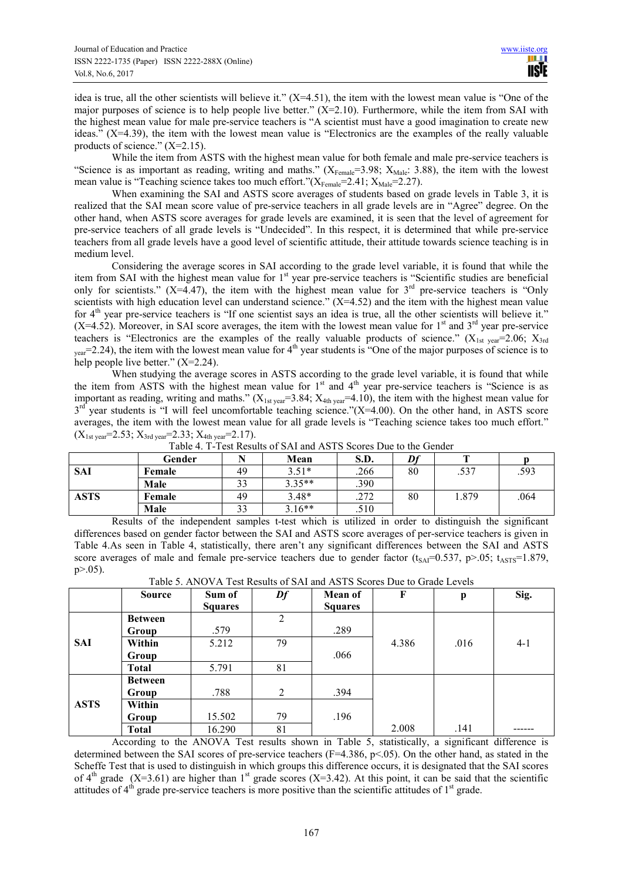idea is true, all the other scientists will believe it."  $(X=4.51)$ , the item with the lowest mean value is "One of the major purposes of science is to help people live better." (X=2.10). Furthermore, while the item from SAI with the highest mean value for male pre-service teachers is "A scientist must have a good imagination to create new ideas." (X=4.39), the item with the lowest mean value is "Electronics are the examples of the really valuable products of science."  $(X=2.15)$ .

While the item from ASTS with the highest mean value for both female and male pre-service teachers is "Science is as important as reading, writing and maths."  $(X_{\text{Female}}=3.98; X_{\text{Male}}: 3.88)$ , the item with the lowest mean value is "Teaching science takes too much effort."( $X_{Female} = 2.41$ ;  $X_{Male} = 2.27$ ).

When examining the SAI and ASTS score averages of students based on grade levels in Table 3, it is realized that the SAI mean score value of pre-service teachers in all grade levels are in "Agree" degree. On the other hand, when ASTS score averages for grade levels are examined, it is seen that the level of agreement for pre-service teachers of all grade levels is "Undecided". In this respect, it is determined that while pre-service teachers from all grade levels have a good level of scientific attitude, their attitude towards science teaching is in medium level.

Considering the average scores in SAI according to the grade level variable, it is found that while the item from SAI with the highest mean value for 1<sup>st</sup> year pre-service teachers is "Scientific studies are beneficial only for scientists." (X=4.47), the item with the highest mean value for  $3<sup>rd</sup>$  pre-service teachers is "Only scientists with high education level can understand science." (X=4.52) and the item with the highest mean value for 4<sup>th</sup> year pre-service teachers is "If one scientist says an idea is true, all the other scientists will believe it."  $(X=4.52)$ . Moreover, in SAI score averages, the item with the lowest mean value for 1<sup>st</sup> and 3<sup>rd</sup> year pre-service teachers is "Electronics are the examples of the really valuable products of science."  $(X_{1st\text{ year}}=2.06; X_{3rd})$  $_{\text{year}}$ =2.24), the item with the lowest mean value for 4<sup>th</sup> year students is "One of the major purposes of science is to help people live better."  $(X=2.24)$ .

When studying the average scores in ASTS according to the grade level variable, it is found that while the item from ASTS with the highest mean value for  $1<sup>st</sup>$  and  $4<sup>th</sup>$  year pre-service teachers is "Science is as important as reading, writing and maths."  $(X_{1st year} = 3.84; X_{4th year} = 4.10)$ , the item with the highest mean value for  $3<sup>rd</sup>$  year students is "I will feel uncomfortable teaching science."(X=4.00). On the other hand, in ASTS score averages, the item with the lowest mean value for all grade levels is "Teaching science takes too much effort."  $(X_{1st year} = 2.53; X_{3rd year} = 2.33; X_{4th year} = 2.17).$ 

|            | Gender | <b>B</b> T | Mean     | S.D.         | D£ | <b>CONTINUES</b> |      |
|------------|--------|------------|----------|--------------|----|------------------|------|
| <b>SAI</b> | Female | 49         | $3.51*$  | .266         | 80 | .537             | .593 |
|            | Male   | 33         | $3.35**$ | .390         |    |                  |      |
| ASTS       | Female | 49         | $3.48*$  | າ 72<br>.414 | 80 | 1.879            | .064 |
|            | Male   | 33         | $3.16**$ | .510         |    |                  |      |

Table 4. T-Test Results of SAI and ASTS Scores Due to the Gender

Results of the independent samples t-test which is utilized in order to distinguish the significant differences based on gender factor between the SAI and ASTS score averages of per-service teachers is given in Table 4.As seen in Table 4, statistically, there aren't any significant differences between the SAI and ASTS score averages of male and female pre-service teachers due to gender factor ( $t_{SA}$ =0.537, p>.05;  $t_{ASTS}$ =1.879,  $p > 0.05$ ).

| Table 5. ANOVA Test Results of SAI and ASTS Scores Due to Grade Levels |  |
|------------------------------------------------------------------------|--|
|------------------------------------------------------------------------|--|

|             | <b>Source</b>  | Sum of         | Df | <b>Mean of</b> | F     | p    | Sig.    |
|-------------|----------------|----------------|----|----------------|-------|------|---------|
|             |                | <b>Squares</b> |    | <b>Squares</b> |       |      |         |
|             | <b>Between</b> |                | 2  |                |       |      |         |
|             | Group          | .579           |    | .289           |       |      |         |
| <b>SAI</b>  | Within         | 5.212          | 79 |                | 4.386 | .016 | $4 - 1$ |
|             | Group          |                |    | .066           |       |      |         |
|             | <b>Total</b>   | 5.791          | 81 |                |       |      |         |
|             | <b>Between</b> |                |    |                |       |      |         |
|             | Group          | .788           | 2  | .394           |       |      |         |
| <b>ASTS</b> | Within         |                |    |                |       |      |         |
|             | Group          | 15.502         | 79 | .196           |       |      |         |
|             | <b>Total</b>   | 16.290         | 81 |                | 2.008 | .141 |         |

According to the ANOVA Test results shown in Table 5, statistically, a significant difference is determined between the SAI scores of pre-service teachers (F=4.386, p<05). On the other hand, as stated in the Scheffe Test that is used to distinguish in which groups this difference occurs, it is designated that the SAI scores of  $4<sup>th</sup>$  grade (X=3.61) are higher than 1<sup>st</sup> grade scores (X=3.42). At this point, it can be said that the scientific attitudes of  $4<sup>th</sup>$  grade pre-service teachers is more positive than the scientific attitudes of  $1<sup>st</sup>$  grade.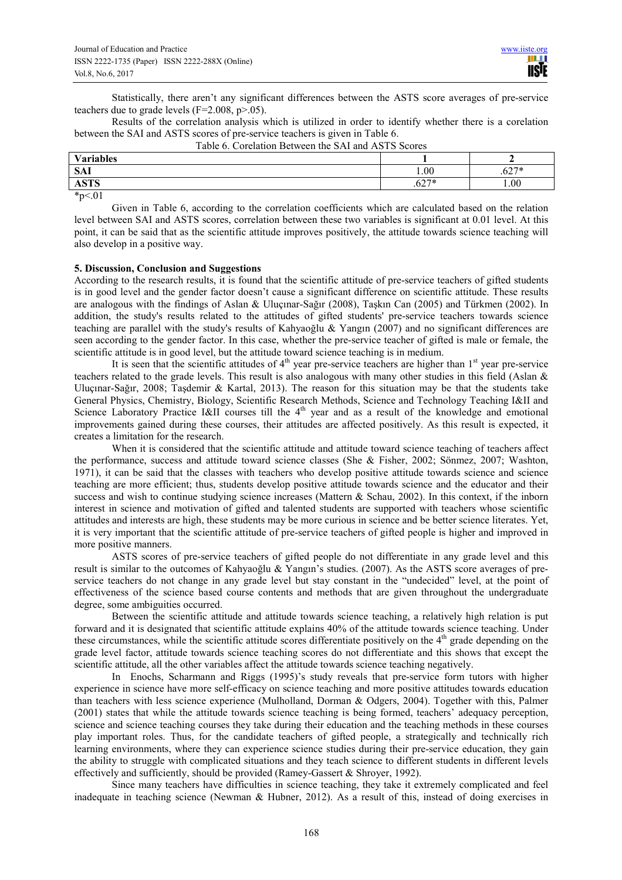Statistically, there aren't any significant differences between the ASTS score averages of pre-service teachers due to grade levels  $(F=2.008, p>0.05)$ .

Results of the correlation analysis which is utilized in order to identify whether there is a corelation between the SAI and ASTS scores of pre-service teachers is given in Table 6.

| <b>Variables</b>          |                      |                                  |
|---------------------------|----------------------|----------------------------------|
| $C_A$ <sup>-</sup><br>SAL | 1.00                 | <b>CO7*</b><br>$U_{\mathcal{L}}$ |
| CDRO<br>A 51 5            | <b>Cウワネ</b><br>، 02. | 1.00                             |

Table 6. Corelation Between the SAI and ASTS Scores

 $*p<.01$ 

Given in Table 6, according to the correlation coefficients which are calculated based on the relation level between SAI and ASTS scores, correlation between these two variables is significant at 0.01 level. At this point, it can be said that as the scientific attitude improves positively, the attitude towards science teaching will also develop in a positive way.

#### **5. Discussion, Conclusion and Suggestions**

According to the research results, it is found that the scientific attitude of pre-service teachers of gifted students is in good level and the gender factor doesn't cause a significant difference on scientific attitude. These results are analogous with the findings of Aslan & Uluçınar-Sağır (2008), Taşkın Can (2005) and Türkmen (2002). In addition, the study's results related to the attitudes of gifted students' pre-service teachers towards science teaching are parallel with the study's results of Kahyaoğlu & Yangın (2007) and no significant differences are seen according to the gender factor. In this case, whether the pre-service teacher of gifted is male or female, the scientific attitude is in good level, but the attitude toward science teaching is in medium.

It is seen that the scientific attitudes of  $4<sup>th</sup>$  year pre-service teachers are higher than  $1<sup>st</sup>$  year pre-service teachers related to the grade levels. This result is also analogous with many other studies in this field (Aslan & Uluçınar-Sağır, 2008; Taşdemir & Kartal, 2013). The reason for this situation may be that the students take General Physics, Chemistry, Biology, Scientific Research Methods, Science and Technology Teaching I&II and Science Laboratory Practice I&II courses till the 4<sup>th</sup> year and as a result of the knowledge and emotional improvements gained during these courses, their attitudes are affected positively. As this result is expected, it creates a limitation for the research.

When it is considered that the scientific attitude and attitude toward science teaching of teachers affect the performance, success and attitude toward science classes (She & Fisher, 2002; Sönmez, 2007; Washton, 1971), it can be said that the classes with teachers who develop positive attitude towards science and science teaching are more efficient; thus, students develop positive attitude towards science and the educator and their success and wish to continue studying science increases (Mattern & Schau, 2002). In this context, if the inborn interest in science and motivation of gifted and talented students are supported with teachers whose scientific attitudes and interests are high, these students may be more curious in science and be better science literates. Yet, it is very important that the scientific attitude of pre-service teachers of gifted people is higher and improved in more positive manners.

ASTS scores of pre-service teachers of gifted people do not differentiate in any grade level and this result is similar to the outcomes of Kahyaoğlu & Yangın's studies. (2007). As the ASTS score averages of preservice teachers do not change in any grade level but stay constant in the "undecided" level, at the point of effectiveness of the science based course contents and methods that are given throughout the undergraduate degree, some ambiguities occurred.

Between the scientific attitude and attitude towards science teaching, a relatively high relation is put forward and it is designated that scientific attitude explains 40% of the attitude towards science teaching. Under these circumstances, while the scientific attitude scores differentiate positively on the 4<sup>th</sup> grade depending on the grade level factor, attitude towards science teaching scores do not differentiate and this shows that except the scientific attitude, all the other variables affect the attitude towards science teaching negatively.

In Enochs, Scharmann and Riggs (1995)'s study reveals that pre-service form tutors with higher experience in science have more self-efficacy on science teaching and more positive attitudes towards education than teachers with less science experience (Mulholland, Dorman & Odgers, 2004). Together with this, Palmer (2001) states that while the attitude towards science teaching is being formed, teachers' adequacy perception, science and science teaching courses they take during their education and the teaching methods in these courses play important roles. Thus, for the candidate teachers of gifted people, a strategically and technically rich learning environments, where they can experience science studies during their pre-service education, they gain the ability to struggle with complicated situations and they teach science to different students in different levels effectively and sufficiently, should be provided (Ramey-Gassert & Shroyer, 1992).

Since many teachers have difficulties in science teaching, they take it extremely complicated and feel inadequate in teaching science (Newman & Hubner, 2012). As a result of this, instead of doing exercises in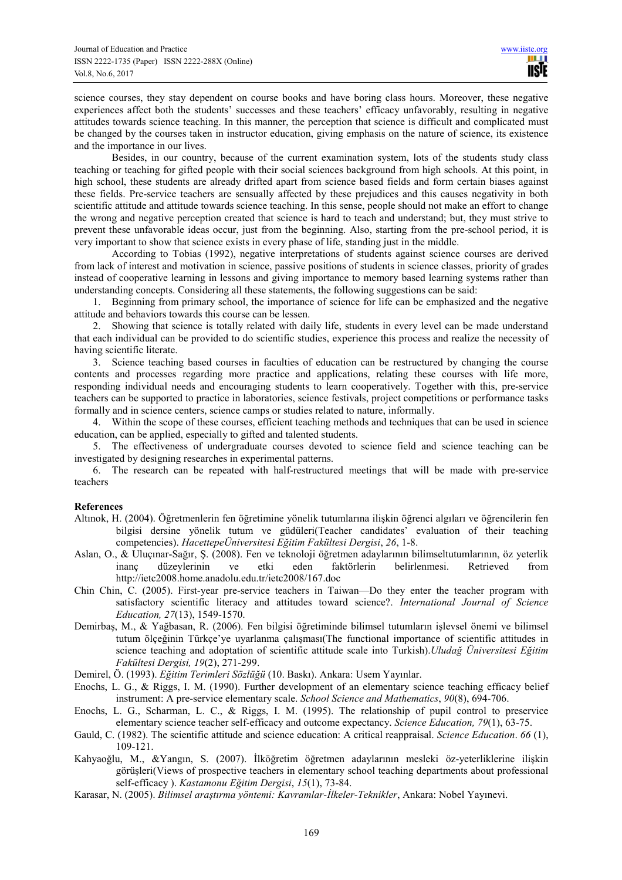science courses, they stay dependent on course books and have boring class hours. Moreover, these negative experiences affect both the students' successes and these teachers' efficacy unfavorably, resulting in negative attitudes towards science teaching. In this manner, the perception that science is difficult and complicated must be changed by the courses taken in instructor education, giving emphasis on the nature of science, its existence and the importance in our lives.

Besides, in our country, because of the current examination system, lots of the students study class teaching or teaching for gifted people with their social sciences background from high schools. At this point, in high school, these students are already drifted apart from science based fields and form certain biases against these fields. Pre-service teachers are sensually affected by these prejudices and this causes negativity in both scientific attitude and attitude towards science teaching. In this sense, people should not make an effort to change the wrong and negative perception created that science is hard to teach and understand; but, they must strive to prevent these unfavorable ideas occur, just from the beginning. Also, starting from the pre-school period, it is very important to show that science exists in every phase of life, standing just in the middle.

According to Tobias (1992), negative interpretations of students against science courses are derived from lack of interest and motivation in science, passive positions of students in science classes, priority of grades instead of cooperative learning in lessons and giving importance to memory based learning systems rather than understanding concepts. Considering all these statements, the following suggestions can be said:

1. Beginning from primary school, the importance of science for life can be emphasized and the negative attitude and behaviors towards this course can be lessen.

2. Showing that science is totally related with daily life, students in every level can be made understand that each individual can be provided to do scientific studies, experience this process and realize the necessity of having scientific literate.

3. Science teaching based courses in faculties of education can be restructured by changing the course contents and processes regarding more practice and applications, relating these courses with life more, responding individual needs and encouraging students to learn cooperatively. Together with this, pre-service teachers can be supported to practice in laboratories, science festivals, project competitions or performance tasks formally and in science centers, science camps or studies related to nature, informally.

4. Within the scope of these courses, efficient teaching methods and techniques that can be used in science education, can be applied, especially to gifted and talented students.

5. The effectiveness of undergraduate courses devoted to science field and science teaching can be investigated by designing researches in experimental patterns.

6. The research can be repeated with half-restructured meetings that will be made with pre-service teachers

# **References**

- Altınok, H. (2004). Öğretmenlerin fen öğretimine yönelik tutumlarına ilişkin öğrenci algıları ve öğrencilerin fen bilgisi dersine yönelik tutum ve güdüleri(Teacher candidates' evaluation of their teaching competencies). *HacettepeÜniversitesi Eğitim Fakültesi Dergisi*, *26*, 1-8.
- Aslan, O., & Uluçınar-Sağır, Ş. (2008). Fen ve teknoloji öğretmen adaylarının bilimseltutumlarının, öz yeterlik inanç düzeylerinin ve etki eden faktörlerin belirlenmesi. Retrieved from http://ietc2008.home.anadolu.edu.tr/ietc2008/167.doc
- Chin Chin, C. (2005). First-year pre-service teachers in Taiwan—Do they enter the teacher program with satisfactory scientific literacy and attitudes toward science?. *International Journal of Science Education, 27*(13), 1549-1570.
- Demirbaş, M., & Yağbasan, R. (2006). Fen bilgisi öğretiminde bilimsel tutumların işlevsel önemi ve bilimsel tutum ölçeğinin Türkçe'ye uyarlanma çalışması(The functional importance of scientific attitudes in science teaching and adoptation of scientific attitude scale into Turkish).*Uludağ Üniversitesi Eğitim Fakültesi Dergisi, 19*(2), 271-299.
- Demirel, Ö. (1993). *Eğitim Terimleri Sözlüğü* (10. Baskı). Ankara: Usem Yayınlar.
- Enochs, L. G., & Riggs, I. M. (1990). Further development of an elementary science teaching efficacy belief instrument: A pre-service elementary scale. *School Science and Mathematics*, *90*(8), 694-706.
- Enochs, L. G., Scharman, L. C., & Riggs, I. M. (1995). The relationship of pupil control to preservice elementary science teacher self-efficacy and outcome expectancy. *Science Education, 79*(1), 63-75.
- Gauld, C. (1982). The scientific attitude and science education: A critical reappraisal. *Science Education*. *66* (1), 109-121.
- Kahyaoğlu, M., &Yangın, S. (2007). İlköğretim öğretmen adaylarının mesleki öz-yeterliklerine ilişkin görüşleri(Views of prospective teachers in elementary school teaching departments about professional self-efficacy ). *Kastamonu Eğitim Dergisi*, *15*(1), 73-84.
- Karasar, N. (2005). *Bilimsel araştırma yöntemi: Kavramlar-İlkeler-Teknikler*, Ankara: Nobel Yayınevi.